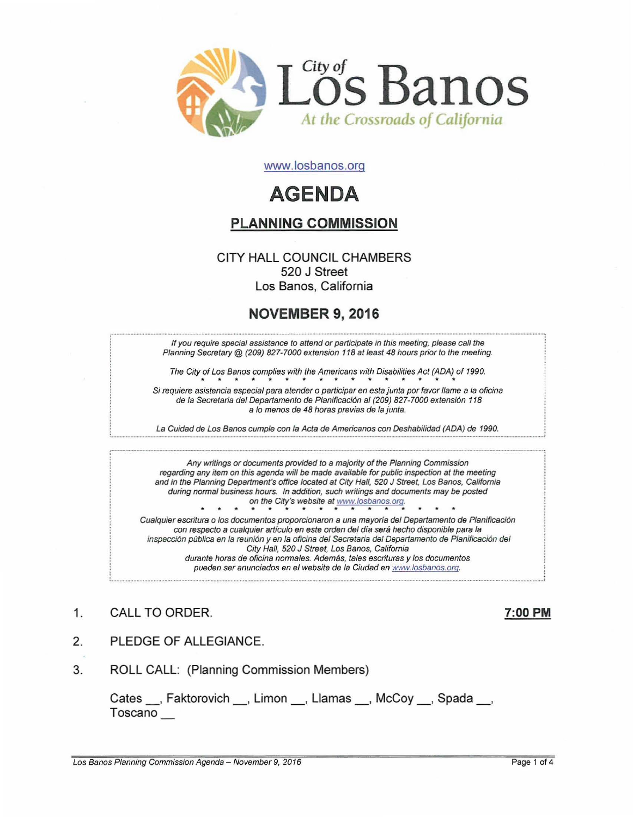

www.losbanos.org

# **AGENDA**

## PLANNING COMMISSION

#### CITY HALL COUNCIL CHAMBERS 520 J Street Los Banos, California

## NOVEMBER 9, 2016

If you require special assistance to attend or participate in this meeting, please call the Planning Secretary @ (209) 827-7000 extension 118 at least 48 hours prior to the meeting.

The City of Los Banos complies with the Americans with Disabilities Act (ADA) of 1990. \*\*\*\*"\*\*\*\*\*\*\*\*\*\*\*

Si requiere asistencia especial para atender o participar en esta junta por favor llame a la oficina de la Secretaria del Departamento de Planificación al (209) 827-7000 extensión 118 a lo menos de 48 horas previas de la junta.

La Guidad de Los Banos cumple con la Acta de Americanos con Deshabilidad (ADA) de 1990.

Any writings or documents provided to a majority of the Planning Commission regarding any item on this agenda will be made available for public inspection at the meeting and in the Planning Department's office located at City Hall, 520 J Street, Los Banos, California during normal business hours. In addition, such writings and documents may be posted on the City's website at www.losbanos.org. Cualquier escritura o los documentos proporcionaron a una mayoría del Departamento de Planificación con respecto a cualquier articulo en este orden del dia sera hecho disponible para la

inspecci6n publica en la reuni6n y en la oficina del Secretaria del Departamento de Planificaci6n del City Hall, 520 J Street, Los Banos, Califomia durante horas de oficina normales. Además, tales escrituras y los documentos pueden ser anunciados en el website de la Ciudad en www.fosbanos.ora.

- 1. CALL TO ORDER. 2002 12:00 PM
- 

- 2. PLEDGE OF ALLEGIANCE.
- 3. ROLL CALL: (Planning Commission Members)

Cates , Faktorovich , Limon , Llamas , McCoy , Spada, Toscano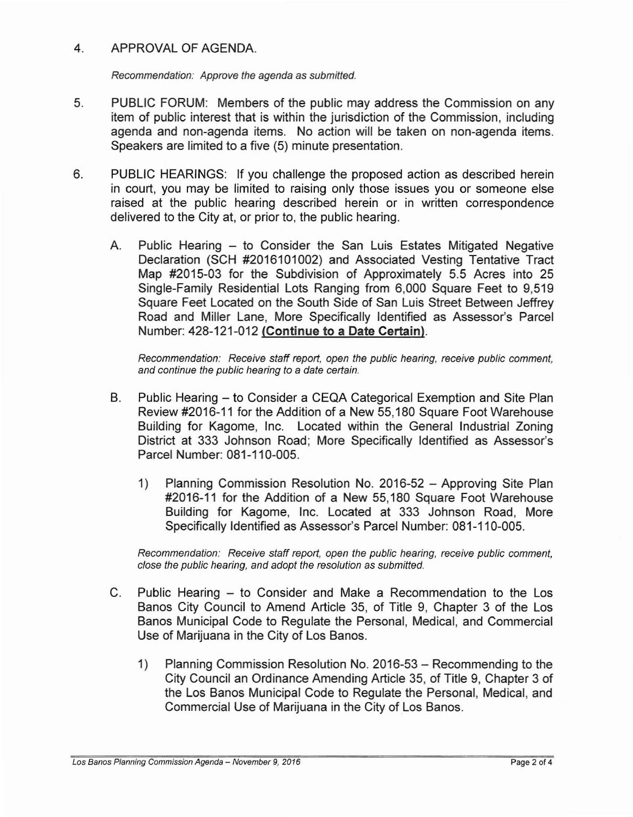#### 4. APPROVAL OF AGENDA.

Recommendation: Approve the agenda as submitted.

- 5. PUBLIC FORUM: Members of the public may address the Commission on any item of public interest that is within the jurisdiction of the Commission, including agenda and non-agenda items. No action will be taken on non-agenda items. Speakers are limited to a five (5) minute presentation.
- 6. PUBLIC HEARINGS: If you challenge the proposed action as described herein in court, you may be limited to raising only those issues you or someone else raised at the public hearing described herein or in written correspondence delivered to the City at, or prior to, the public hearing.
	- A. Public Hearing to Consider the San Luis Estates Mitigated Negative Declaration (SCH #2016101002) and Associated Vesting Tentative Tract Map #2015-03 for the Subdivision of Approximately 5.5 Acres into 25 Single-Family Residential Lots Ranging from 6,000 Square Feet to 9,519 Square Feet Located on the South Side of San Luis Street Between Jeffrey Road and Miller Lane, More Specifically Identified as Assessor's Parcel Number: 428-121-012 **(Continue to a Date Certain).**

Recommendation: Receive staff report, open the public hearing, receive public comment, and continue the public hearing to a date certain.

- B. Public Hearing to Consider a CEQA Categorical Exemption and Site Plan Review #2016-11 for the Addition of a New 55,180 Square Foot Warehouse Building for Kagome, Inc. Located within the General Industrial Zoning District at 333 Johnson Road; More Specifically Identified as Assessor's Parcel Number: 081-110-005.
	- 1) Planning Commission Resolution No. 2016-52 Approving Site Plan #2016-11 for the Addition of a New 55,180 Square Foot Warehouse Building for Kagome, Inc. Located at 333 Johnson Road, More Specifically Identified as Assessor's Parcel Number: 081-110-005.

Recommendation: Receive staff report, open the public hearing, receive public comment, close the public hearing, and adopt the resolution as submitted.

- C. Public Hearing to Consider and Make a Recommendation to the Los Banos City Council to Amend Article 35, of Title 9, Chapter 3 of the Los Banos Municipal Code to Regulate the Personal, Medical, and Commercial Use of Marijuana in the City of Los Banos.
	- 1) Planning Commission Resolution No. 2016-53 Recommending to the City Council an Ordinance Amending Article 35, of Title 9, Chapter 3 of the Los Banos Municipal Code to Regulate the Personal, Medical, and Commercial Use of Marijuana in the City of Los Banos.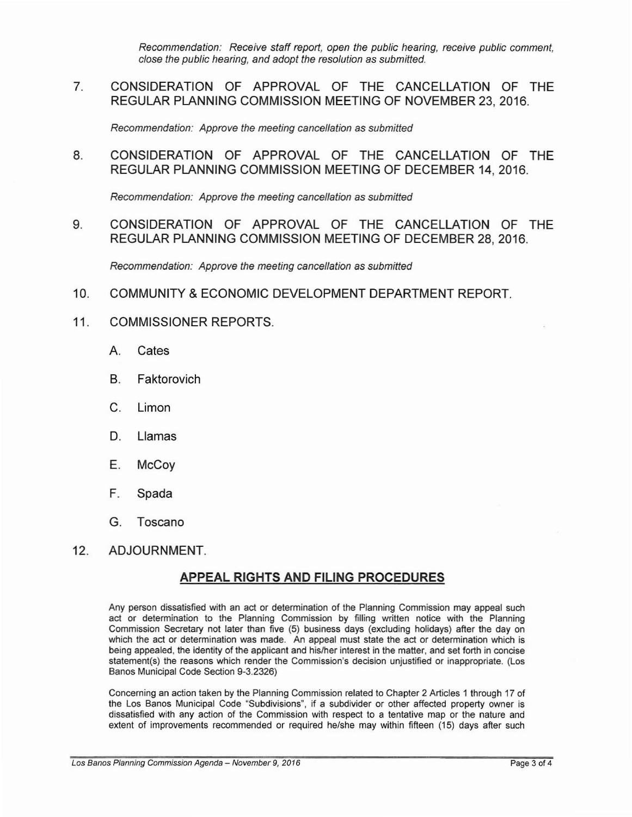Recommendation: Receive staff report, open the public hearing, receive public comment, close the public hearing, and adopt the resolution as submitted.

7. CONSIDERATION OF APPROVAL OF THE CANCELLATION OF THE REGULAR PLANNING COMMISSION MEETING OF NOVEMBER 23, 2016.

Recommendation: Approve the meeting cancellation as submitted

8. CONSIDERATION OF APPROVAL OF THE CANCELLATION OF THE REGULAR PLANNING COMMISSION MEETING OF DECEMBER 14, 2016.

Recommendation: Approve the meeting cancellation as submitted

9. CONSIDERATION OF APPROVAL OF THE CANCELLATION OF THE REGULAR PLANNING COMMISSION MEETING OF DECEMBER 28, 2016.

Recommendation: Approve the meeting cancellation as submitted

- 10. COMMUNITY &ECONOMIC DEVELOPMENT DEPARTMENT REPORT.
- 11. COMMISSIONER REPORTS.
	- A. Cates
	- B. Faktorovich
	- C. Limon
	- D. Llamas
	- E. McCoy
	- F. Spada
	- G. Toscano
- 12. ADJOURNMENT.

### APPEAL RIGHTS AND FILING PROCEDURES

Any person dissatisfied with an act or determination of the Planning Commission may appeal such act or determination to the Planning Commission by filling written notice with the Planning Commission Secretary not later than five (5) business days (excluding holidays) after the day on which the act or determination was made. An appeal must state the act or determination which is being appealed, the identity of the applicant and his/her interest in the matter, and set forth in concise statement(s) the reasons which render the Commission's decision unjustified or inappropriate. (Los Banos Municipal Code Section 9-3.2326)

Concerning an action taken by the Planning Commission related to Chapter 2 Articles 1 through 17 of the Los Banos Municipai Code "Subdivisions", if a subdivider or other affected property owner is dissatisfied with any action of the Commission with respect to a tentative map or the nature and extent of improvements recommended or required he/she may within fifteen (15) days after such